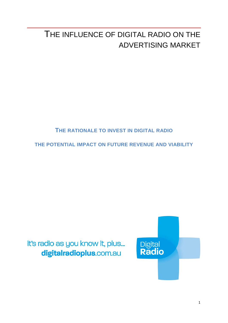# THE INFLUENCE OF DIGITAL RADIO ON THE ADVERTISING MARKET

# **THE RATIONALE TO INVEST IN DIGITAL RADIO**

**THE POTENTIAL IMPACT ON FUTURE REVENUE AND VIABILITY**

it's radio as you know it, plus... digitalradioplus.com.au

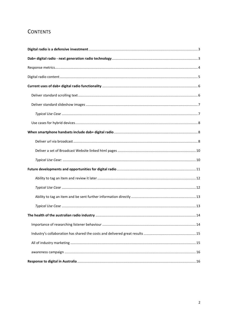# **CONTENTS**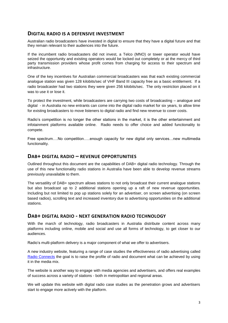# <span id="page-2-0"></span>**DIGITAL RADIO IS A DEFENSIVE INVESTMENT**

Australian radio broadcasters have invested in digital to ensure that they have a digital future and that they remain relevant to their audiences into the future.

If the incumbent radio broadcasters did not invest, a Telco (MNO) or tower operator would have seized the opportunity and existing operators would be locked out completely or at the mercy of third party transmission providers whose profit comes from charging for access to their spectrum and infrastructure.

One of the key incentives for Australian commercial broadcasters was that each existing commercial analogue station was given 128 kilobits/sec of VHF Band III capacity free as a basic entitlement. If a radio broadcaster had two stations they were given 256 kilobits/sec. The only restriction placed on it was to use it or lose it.

To protect the investment, while broadcasters are carrying two costs of broadcasting – analogue and digital - in Australia no new entrants can come into the digital radio market for six years, to allow time for existing broadcasters to move listeners to digital radio and find new revenue to cover costs.

Radio's competition is no longer the other stations in the market, it is the other entertainment and infotainment platforms available online. Radio needs to offer choice and added functionality to compete.

Free spectrum….No competition…..enough capacity for new digital only services…new multimedia functionality.

# **DAB+ DIGITAL RADIO – REVENUE OPPORTUNITIES**

Outlined throughout this document are the capabilities of DAB+ digital radio technology. Through the use of this new functionality radio stations in Australia have been able to develop revenue streams previously unavailable to them.

The versatility of DAB+ spectrum allows stations to not only broadcast their current analogue stations but also broadcast up to 2 additional stations opening up a raft of new revenue opportunities. Including but not limited to pop up stations solely for an advertiser, on screen advertising (on screen based radios), scrolling text and increased inventory due to advertising opportunities on the additional stations.

## <span id="page-2-1"></span>**DAB+ DIGITAL RADIO - NEXT GENERATION RADIO TECHNOLOGY**

With the march of technology, radio broadcasters in Australia distribute content across many platforms including online, mobile and social and use all forms of technology, to get closer to our audiences.

Radio's multi-platform delivery is a major component of what we offer to advertisers.

A new industry website, featuring a range of case studies the effectiveness of radio advertising called [Radio Connects](http://www.radioconnects.com.au/) the goal is to raise the profile of radio and document what can be achieved by using it in the media mix.

The website is another way to engage with media agencies and advertisers, and offers real examples of success across a variety of stations - both in metropolitan and regional areas.

We will update this website with digital radio case studies as the penetration grows and advertisers start to engage more actively with the platform.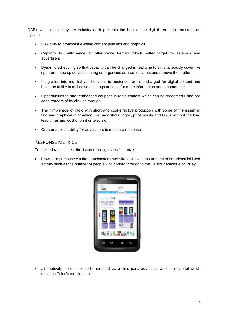DAB+ was selected by the industry as it presents the best of the digital terrestrial transmission systems:

- Flexibility to broadcast existing content plus text and graphics
- Capacity to multichannel to offer niche formats which better target for listeners and advertisers
- Dynamic scheduling so that capacity can be changed in real time to simultaneously cover live sport or to pop up services during emergencies or around events and remove them after
- Integration into mobile/hybrid devices to audiences are not charged for digital content and have the ability to drill down on songs or items for more information and e-commerce
- Opportunities to offer embedded coupons in radio content which can be redeemed using bar code readers of by clicking through
- The nimbleness of radio with short and cost effective production with some of the essential text and graphical information like pack shots, logos, price points and URLs without the long lead times and cost of print or television.
- Greater accountability for advertisers to measure response

#### <span id="page-3-0"></span>RESPONSE METRICS

Connected radios direct the listener through specific portals:

 browse or purchase via the broadcaster's website to allow measurement of broadcast initiated activity such as the number of people who clicked through to the Telstra catalogue on 2Day.



 alternatively the user could be directed via a third party advertiser website or portal which uses the Telco's mobile data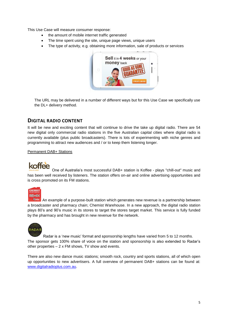This Use Case will measure consumer response:

- the amount of mobile internet traffic generated
- The time spent using the site, unique page views, unique users
- The type of activity, e.g. obtaining more information, sale of products or services



The URL may be delivered in a number of different ways but for this Use Case we specifically use the DL+ delivery method.

# <span id="page-4-0"></span>**DIGITAL RADIO CONTENT**

It will be new and exciting content that will continue to drive the take up digital radio. There are 54 new digital only commercial radio stations in the five Australian capital cities where digital radio is currently available (plus public broadcasters). There is lots of experimenting with niche genres and programming to attract new audiences and / or to keep them listening longer.

#### Permanent DAB+ Stations

# koffee

One of Australia's most successful DAB+ station is Koffee - plays "chill-out" music and has been well received by listeners. The station offers on-air and online advertising opportunities and is cross promoted on its FM stations.



**Amix** An example of a purpose-built station which generates new revenue is a partnership between a broadcaster and pharmacy chain; Chemist Warehouse. In a new approach, the digital radio station plays 80's and 90's music in its stores to target the stores target market. This service is fully funded by the pharmacy and has brought in new revenue for the network.



Radar is a 'new music' format and sponsorship lengths have varied from 5 to 12 months. The sponsor gets 100% share of voice on the station and sponsorship is also extended to Radar's other properties – 2 x FM shows, TV show and events.

There are also new dance music stations; smooth rock, country and sports stations, all of which open up opportunities to new advertisers. A full overview of permanent DAB+ stations can be found at: [www.digitalradioplus.com.au.](http://www.digitalradioplus.com.au/)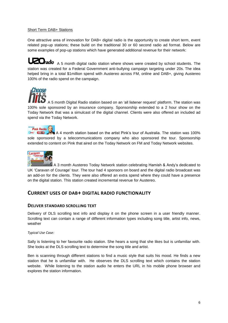#### Short Term DAB+ Stations

One attractive area of innovation for DAB+ digital radio is the opportunity to create short term, event related pop-up stations; these build on the traditional 30 or 60 second radio ad format. Below are some examples of pop-up stations which have generated additional revenue for their network:

**A Tradio** A 5 month digital radio station where shows were created by school students. The station was created for a Federal Government anti-bullying campaign targeting under 20s. The idea helped bring in a total \$1million spend with Austereo across FM, online and DAB+, giving Austereo 100% of the radio spend on the campaign.

A 5 month Digital Radio station based on an 'all listener request' platform. The station was 100% sole sponsored by an insurance company. Sponsorship extended to a 2 hour show on the Today Network that was a simulcast of the digital channel. Clients were also offered an included ad spend via the Today Network.

**Pink Radio** today Wow D

*:hoose* 

A 4 month station based on the artist Pink's tour of Australia. The station was 100% sole sponsored by a telecommunications company who also sponsored the tour. Sponsorship extended to content on Pink that aired on the Today Network on FM and Today Network websites.



A 3 month Austereo Today Network station celebrating Hamish & Andy's dedicated to UK 'Caravan of Courage' tour. The tour had 4 sponsors on board and the digital radio broadcast was an add-on for the clients. They were also offered an extra spend where they could have a presence on the digital station. This station created incremental revenue for Austereo.

# <span id="page-5-0"></span>**CURRENT USES OF DAB+ DIGITAL RADIO FUNCTIONALITY**

#### <span id="page-5-1"></span>**DELIVER STANDARD SCROLLING TEXT**

Delivery of DLS scrolling text info and display it on the phone screen in a user friendly manner. Scrolling text can contain a range of different information types including song title, artist info, news, weather

*Typical Use Case:*

Sally is listening to her favourite radio station. She hears a song that she likes but is unfamiliar with. She looks at the DLS scrolling text to determine the song title and artist.

Ben is scanning through different stations to find a music style that suits his mood. He finds a new station that he is unfamiliar with. He observes the DLS scrolling text which contains the station website. While listening to the station audio he enters the URL in his mobile phone browser and explores the station information.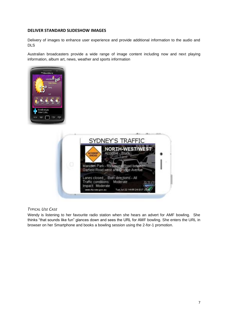#### <span id="page-6-0"></span>**DELIVER STANDARD SLIDESHOW IMAGES**

Delivery of images to enhance user experience and provide additional information to the audio and DLS

Australian broadcasters provide a wide range of image content including now and next playing information, album art, news, weather and sports information





## <span id="page-6-1"></span>*TYPICAL USE CASE*

Wendy is listening to her favourite radio station when she hears an advert for AMF bowling. She thinks "that sounds like fun" glances down and sees the URL for AMF bowling. She enters the URL in browser on her Smartphone and books a bowling session using the 2-for-1 promotion.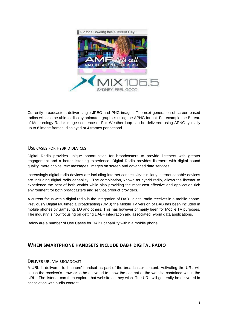

Currently broadcasters deliver single JPEG and PNG images. The next generation of screen based radios will also be able to display animated graphics using the APNG format. For example the Bureau of Meteorology Radar image sequence or Fox Weather loop can be delivered using APNG typically up to 6 image frames, displayed at 4 frames per second

## <span id="page-7-0"></span>USE CASES FOR HYBRID DEVICES

Digital Radio provides unique opportunities for broadcasters to provide listeners with greater engagement and a better listening experience. Digital Radio provides listeners with digital sound quality, more choice, text messages, images on screen and advanced data services.

Increasingly digital radio devices are including internet connectivity; similarly internet capable devices are including digital radio capability. The combination, known as hybrid radio, allows the listener to experience the best of both worlds while also providing the most cost effective and application rich environment for both broadcasters and service/product providers.

A current focus within digital radio is the integration of DAB+ digital radio receiver in a mobile phone. Previously Digital Multimedia Broadcasting (DMB) the Mobile TV version of DAB has been included in mobile phones by Samsung, LG and others. This has however primarily been for Mobile TV purposes. The industry is now focusing on getting DAB+ integration and associated hybrid data applications.

Below are a number of Use Cases for DAB+ capability within a mobile phone.

# <span id="page-7-1"></span>**WHEN SMARTPHONE HANDSETS INCLUDE DAB+ DIGITAL RADIO**

#### <span id="page-7-2"></span>DELIVER URL VIA BROADCAST

A URL is delivered to listeners' handset as part of the broadcaster content. Activating the URL will cause the receiver's browser to be activated to show the content at the website contained within the URL. The listener can then explore that website as they wish. The URL will generally be delivered in association with audio content.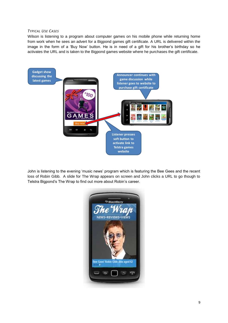#### *TYPICAL USE CASES*

Wilson is listening to a program about computer games on his mobile phone while returning home from work when he sees an advert for a Bigpond games gift certificate. A URL is delivered within the image in the form of a 'Buy Now' button. He is in need of a gift for his brother's birthday so he activates the URL and is taken to the Bigpond games website where he purchases the gift certificate.



John is listening to the evening 'music news' program which is featuring the Bee Gees and the recent loss of Robin Gibb. A slide for The Wrap appears on screen and John clicks a URL to go though to Telstra Bigpond's The Wrap to find out more about Robin's career.

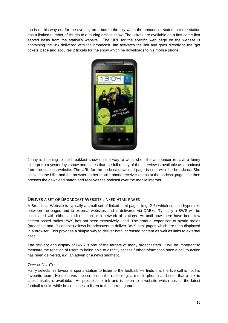Ian is on his way out for the evening on a bus to the city when the announcer states that the station has a limited number of tickets to a touring artist's show. The tickets are available on a first come first served basis from the station's website. The URL for the specific web page on the website is containing the link delivered with the broadcast. Ian activates the link and goes directly to the 'get tickets' page and acquires 2 tickets for the show which he downloads to his mobile phone.



Jenny is listening to the breakfast show on the way to work when the announcer replays a funny excerpt from yesterdays show and states that the full replay of the interview is available as a podcast from the stations website. The URL for the podcast download page is sent with the broadcast. She activates the URL and the browser on her mobile phone receiver opens at the podcast page, she then presses the download button and receives the podcast over the mobile internet.

## <span id="page-9-0"></span>DELIVER A SET OF BROADCAST WEBSITE LINKED HTML PAGES

A Broadcast Website is typically a small set of linked html pages (e.g. 2-6) which contain hyperlinks between the pages and to external websites and is delivered via DAB+. Typically a BWS will be associated with either a radio station or a network of stations. As until now there have been few screen based radios BWS has not been extensively used. The gradual expansion of hybrid radios (broadcast and IP capable) allows broadcasters to deliver BWS html pages which are then displayed in a browser. This provides a simple way to deliver both increased content as well as links to external sites.

The delivery and display of BWS is one of the targets of many broadcasters. It will be important to measure the reaction of users to being able to directly access further information once a call-to-action has been delivered, e.g. an advert or a news segment.

#### <span id="page-9-1"></span>*TYPICAL USE CASE:*

Harry selects his favourite sports station to listen to the football. He finds that the live call is not his favourite team. He observes the screen on the radio (e.g. a mobile phone) and sees that a link to latest results is available. He presses the link and is taken to a website which has all the latest football results while he continues to listen to the current game.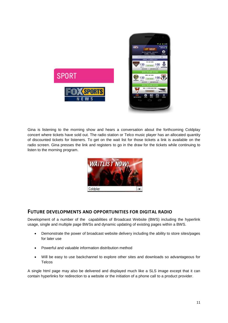

Gina is listening to the morning show and hears a conversation about the forthcoming Coldplay concert where tickets have sold out. The radio station or Telco music player has an allocated quantity of discounted tickets for listeners. To get on the wait list for those tickets a link is available on the radio screen. Gina presses the link and registers to go in the draw for the tickets while continuing to listen to the morning program.



# <span id="page-10-0"></span>**FUTURE DEVELOPMENTS AND OPPORTUNITIES FOR DIGITAL RADIO**

Development of a number of the capabilities of Broadcast Website (BWS) including the hyperlink usage, single and multiple page BWSs and dynamic updating of existing pages within a BWS.

- Demonstrate the power of broadcast website delivery including the ability to store sites/pages for later use
- Powerful and valuable information distribution method
- Will be easy to use backchannel to explore other sites and downloads so advantageous for **Telcos**

A single html page may also be delivered and displayed much like a SLS image except that it can contain hyperlinks for redirection to a website or the initiation of a phone call to a product provider.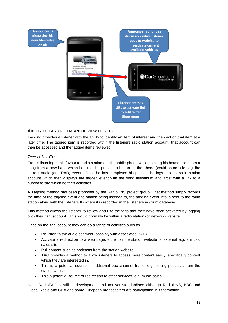

#### <span id="page-11-0"></span>ABILITY TO TAG AN ITEM AND REVIEW IT LATER

Tagging provides a listener with the ability to identify an item of interest and then act on that item at a later time. The tagged item is recorded within the listeners radio station account, that account can then be accessed and the tagged items reviewed

#### <span id="page-11-1"></span>*TYPICAL USE CASE*

Fred is listening to his favourite radio station on his mobile phone while painting his house. He hears a song from a new band which he likes. He presses a button on the phone (could be soft) to 'tag' the current audio (and PAD) event. Once he has completed his painting he logs into his radio station account which then displays the tagged event with the song title/album and artist with a link to a purchase site which he then activates

A Tagging method has been proposed by the RadioDNS project group. That method simply records the time of the tagging event and station being listened to, the tagging event info is sent to the radio station along with the listeners ID where it is recorded in the listeners account database.

This method allows the listener to review and use the tags that they have been activated by logging onto their 'tag' account. This would normally be within a radio station (or network) website.

Once on the 'tag' account they can do a range of activities such as

- Re-listen to the audio segment (possibly with associated PAD)
- Activate a redirection to a web page, either on the station website or external e.g. a music sales site
- Pull content such as podcasts from the station website
- TAG provides a method to allow listeners to access more content easily, specifically content which they are interested in.
- This is a potential source of additional backchannel traffic, e.g. pulling podcasts from the station website
- This a potential source of redirection to other services, e.g. music sales

Note: RadioTAG is still in development and not yet standardised although RadioDNS, BBC and Global Radio and CRA and some European broadcasters are participating in its formation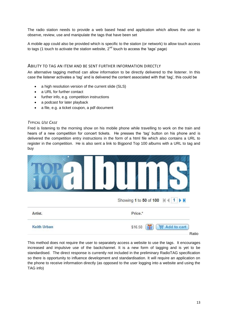The radio station needs to provide a web based head end application which allows the user to observe, review, use and manipulate the tags that have been set

A mobile app could also be provided which is specific to the station (or network) to allow touch access to tags (1 touch to activate the station website,  $2<sup>nd</sup>$  touch to access the 'tags' page)

#### <span id="page-12-0"></span>ABILITY TO TAG AN ITEM AND BE SENT FURTHER INFORMATION DIRECTLY

An alternative tagging method can allow information to be directly delivered to the listener. In this case the listener activates a 'tag' and is delivered the content associated with that 'tag', this could be

- a high resolution version of the current slide (SLS)
- a URL for further contact
- further info, e.g. competition instructions
- a podcast for later playback
- a file, e.g. a ticket coupon, a pdf document

#### <span id="page-12-1"></span>*TYPICAL USE CASE*

Fred is listening to the morning show on his mobile phone while travelling to work on the train and hears of a new competition for concert tickets. He presses the 'tag' button on his phone and is delivered the competition entry instructions in the form of a html file which also contains a URL to register in the competition. He is also sent a link to Bigpond Top 100 albums with a URL to tag and buy

|                    | Showing 1 to 50 of 100   4   1<br>EN |
|--------------------|--------------------------------------|
| Artist.            | Price.*                              |
| <b>Keith Urban</b> | \$16.50<br>Add to cart<br>W<br>Ratio |

<span id="page-12-2"></span>This method does not require the user to separately access a website to use the tags. It encourages increased and impulsive use of the backchannel. It is a new form of tagging and is yet to be standardised. The direct response is currently not included in the preliminary RadioTAG specification so there is opportunity to influence development and standardisation. It will require an application on the phone to receive information directly (as opposed to the user logging into a website and using the TAG info)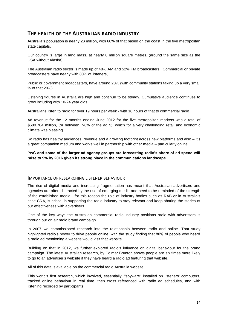# **THE HEALTH OF THE AUSTRALIAN RADIO INDUSTRY**

Australia's population is nearly 23 million, with 60% of that based on the coast in the five metropolitan state capitals.

Our country is large in land mass, at nearly 8 million square metres, (around the same size as the USA without Alaska).

The Australian radio sector is made up of 48% AM and 52% FM broadcasters. Commercial or private broadcasters have nearly with 80% of listeners,

Public or government broadcasters, have around 20% (with community stations taking up a very small % of that 20%).

Listening figures in Australia are high and continue to be steady. Cumulative audience continues to grow including with 10-24 year olds.

Australians listen to radio for over 19 hours per week - with 16 hours of that to commercial radio.

Ad revenue for the 12 months ending June 2012 for the five metropolitan markets was a total of \$680.704 million, (or between 7-8% of the ad \$), which for a very challenging retail and economic climate was pleasing.

So radio has healthy audiences, revenue and a growing footprint across new platforms and also – it's a great companion medium and works well in partnership with other media – particularly online.

**PwC and some of the larger ad agency groups are forecasting radio's share of ad spend will raise to 9% by 2016 given its strong place in the communications landscape.** 

#### <span id="page-13-0"></span>IMPORTANCE OF RESEARCHING LISTENER BEHAVIOUR

The rise of digital media and increasing fragmentation has meant that Australian advertisers and agencies are often distracted by the rise of emerging media and need to be reminded of the strength of the established media....for this reason the role of industry bodies such as RAB or in Australia's case CRA, is critical in supporting the radio industry to stay relevant and keep sharing the stories of our effectiveness with advertisers.

One of the key ways the Australian commercial radio industry positions radio with advertisers is through our on air radio brand campaign.

In 2007 we commissioned research into the relationship between radio and online. That study highlighted radio's power to drive people online, with the study finding that 80% of people who heard a radio ad mentioning a website would visit that website.

Building on that in 2012, we further explored radio's influence on digital behaviour for the brand campaign. The latest Australian research, by Colmar Brunton shows people are six times more likely to go to an advertiser's website if they have heard a radio ad featuring that website.

All of this data is available on the commercial radio Australia website

This world's first research, which involved, essentially, "spyware" installed on listeners' computers, tracked online behaviour in real time, then cross referenced with radio ad schedules, and with listening recorded by participants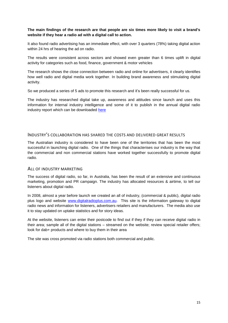#### **The main findings of the research are that people are six times more likely to visit a brand's website if they hear a radio ad with a digital call to action.**

It also found radio advertising has an immediate effect, with over 3 quarters (78%) taking digital action within 24 hrs of hearing the ad on radio.

The results were consistent across sectors and showed even greater than 6 times uplift in digital activity for categories such as food, finance, government & motor vehicles

The research shows the close connection between radio and online for advertisers, it clearly identifies how well radio and digital media work together. In building brand awareness and stimulating digital activity.

So we produced a series of 5 ads to promote this research and it's been really successful for us.

The industry has researched digital take up, awareness and attitudes since launch and uses this information for internal industry intelligence and some of it to publish in the annual digital radio industry report which can be downloaded [here](http://www.digitalradioplus.com.au/files/news/Digital%20radio%20sales%20soar%20%20Media%20Release%202013.pdf)

#### <span id="page-14-0"></span>INDUSTRY'S COLLABORATION HAS SHARED THE COSTS AND DELIVERED GREAT RESULTS

The Australian industry is considered to have been one of the territories that has been the most successful in launching digital radio. One of the things that characterises our industry is the way that the commercial and non commercial stations have worked together successfully to promote digital radio.

#### <span id="page-14-1"></span>ALL OF INDUSTRY MARKETING

The success of digital radio, so far, in Australia, has been the result of an extensive and continuous marketing, promotion and PR campaign. The industry has allocated resources & airtime, to tell our listeners about digital radio.

In 2008, almost a year before launch we created an all of industry, (commercial & public), digital radio plus logo and website [www.digitalradioplus.com.au.](http://www.digitalradioplus.com.au/) This site is the information gateway to digital radio news and information for listeners, advertisers retailers and manufacturers. The media also use it to stay updated on uptake statistics and for story ideas.

At the website, listeners can enter their postcode to find out if they if they can receive digital radio in their area; sample all of the digital stations – streamed on the website; review special retailer offers; look for dab+ products and where to buy them in their area

The site was cross promoted via radio stations both commercial and public.